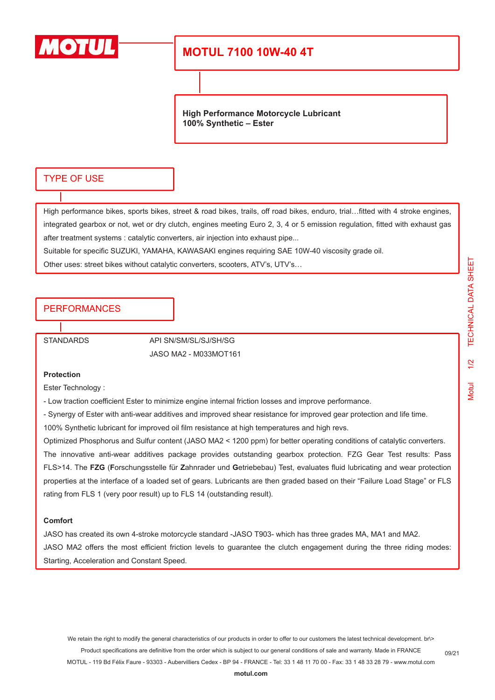

## **MOTUL 7100 10W-40 4T**

**High Performance Motorcycle Lubricant 100% Synthetic – Ester**

### TYPE OF USE

High performance bikes, sports bikes, street & road bikes, trails, off road bikes, enduro, trial…fitted with 4 stroke engines, integrated gearbox or not, wet or dry clutch, engines meeting Euro 2, 3, 4 or 5 emission regulation, fitted with exhaust gas after treatment systems : catalytic converters, air injection into exhaust pipe...

Suitable for specific SUZUKI, YAMAHA, KAWASAKI engines requiring SAE 10W-40 viscosity grade oil.

Other uses: street bikes without catalytic converters, scooters, ATV's, UTV's…

### PERFORMANCES

STANDARDS API SN/SM/SL/SJ/SH/SG JASO MA2 - M033MOT161

#### **Protection**

Ester Technology :

- Low traction coefficient Ester to minimize engine internal friction losses and improve performance.

- Synergy of Ester with anti-wear additives and improved shear resistance for improved gear protection and life time.

100% Synthetic lubricant for improved oil film resistance at high temperatures and high revs.

Optimized Phosphorus and Sulfur content (JASO MA2 < 1200 ppm) for better operating conditions of catalytic converters.

The innovative anti-wear additives package provides outstanding gearbox protection. FZG Gear Test results: Pass FLS>14. The **FZG** (**F**orschungsstelle für **Z**ahnrader und **G**etriebebau) Test, evaluates fluid lubricating and wear protection properties at the interface of a loaded set of gears. Lubricants are then graded based on their "Failure Load Stage" or FLS rating from FLS 1 (very poor result) up to FLS 14 (outstanding result).

#### **Comfort**

JASO has created its own 4-stroke motorcycle standard -JASO T903- which has three grades MA, MA1 and MA2. JASO MA2 offers the most efficient friction levels to guarantee the clutch engagement during the three riding modes: Starting, Acceleration and Constant Speed.

We retain the right to modify the general characteristics of our products in order to offer to our customers the latest technical development. br\> Product specifications are definitive from the order which is subject to our general conditions of sale and warranty. Made in FRANCE MOTUL - 119 Bd Félix Faure - 93303 - Aubervilliers Cedex - BP 94 - FRANCE - Tel: 33 1 48 11 70 00 - Fax: 33 1 48 33 28 79 - www.motul.com

09/21